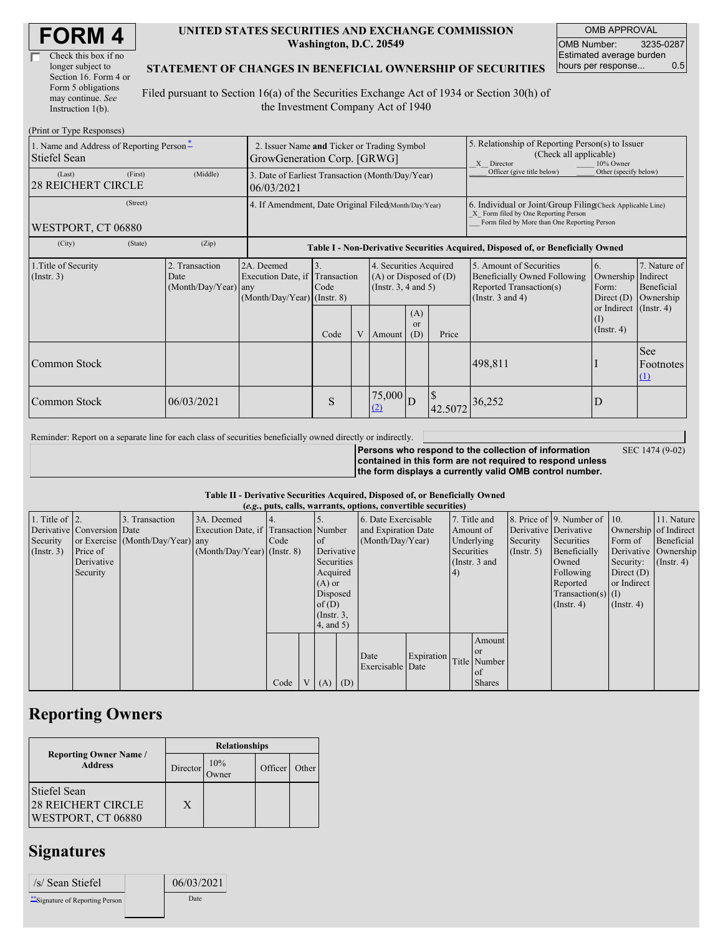| Check this box if no  |
|-----------------------|
| longer subject to     |
| Section 16. Form 4 or |
| Form 5 obligations    |
| may continue. See     |
| Instruction 1(b).     |

#### **UNITED STATES SECURITIES AND EXCHANGE COMMISSION Washington, D.C. 20549**

OMB APPROVAL OMB Number: 3235-0287 Estimated average burden hours per response... 0.5

#### **STATEMENT OF CHANGES IN BENEFICIAL OWNERSHIP OF SECURITIES**

Filed pursuant to Section 16(a) of the Securities Exchange Act of 1934 or Section 30(h) of the Investment Company Act of 1940

| (Print or Type Responses)                                |          |                                                |                                                                            |                                                                                  |                                                                                                 |                   |                             |                                                                                                                    |                                                                                                                                                    |                                                   |                                     |  |  |
|----------------------------------------------------------|----------|------------------------------------------------|----------------------------------------------------------------------------|----------------------------------------------------------------------------------|-------------------------------------------------------------------------------------------------|-------------------|-----------------------------|--------------------------------------------------------------------------------------------------------------------|----------------------------------------------------------------------------------------------------------------------------------------------------|---------------------------------------------------|-------------------------------------|--|--|
| 1. Name and Address of Reporting Person-<br>Stiefel Sean |          |                                                | 2. Issuer Name and Ticker or Trading Symbol<br>GrowGeneration Corp. [GRWG] |                                                                                  |                                                                                                 |                   |                             |                                                                                                                    | 5. Relationship of Reporting Person(s) to Issuer<br>(Check all applicable)<br>10% Owner<br>X Director                                              |                                                   |                                     |  |  |
| (Last)<br><b>28 REICHERT CIRCLE</b>                      | (First)  | (Middle)                                       | 3. Date of Earliest Transaction (Month/Day/Year)<br>06/03/2021             |                                                                                  |                                                                                                 |                   |                             |                                                                                                                    | Officer (give title below)                                                                                                                         | Other (specify below)                             |                                     |  |  |
| WESTPORT, CT 06880                                       | (Street) |                                                | 4. If Amendment, Date Original Filed(Month/Day/Year)                       |                                                                                  |                                                                                                 |                   |                             |                                                                                                                    | 6. Individual or Joint/Group Filing Check Applicable Line)<br>X Form filed by One Reporting Person<br>Form filed by More than One Reporting Person |                                                   |                                     |  |  |
| (City)                                                   | (State)  | (Zip)                                          |                                                                            | Table I - Non-Derivative Securities Acquired, Disposed of, or Beneficially Owned |                                                                                                 |                   |                             |                                                                                                                    |                                                                                                                                                    |                                                   |                                     |  |  |
| 1. Title of Security<br>(Insert. 3)                      |          | 2. Transaction<br>Date<br>(Month/Day/Year) any | 2A. Deemed<br>Execution Date, if<br>$(Month/Day/Year)$ (Instr. 8)          | 3.<br>Code                                                                       | 4. Securities Acquired<br>Transaction<br>$(A)$ or Disposed of $(D)$<br>(Instr. $3, 4$ and $5$ ) |                   |                             | 5. Amount of Securities<br><b>Beneficially Owned Following</b><br>Reported Transaction(s)<br>(Instr. $3$ and $4$ ) | 6.<br>Ownership Indirect<br>Form:<br>Direct (D)                                                                                                    | 7. Nature of<br>Beneficial<br>Ownership           |                                     |  |  |
|                                                          |          |                                                |                                                                            | Code                                                                             | V                                                                                               | Amount            | (A)<br><sub>or</sub><br>(D) | Price                                                                                                              |                                                                                                                                                    | or Indirect (Instr. 4)<br>(I)<br>$($ Instr. 4 $)$ |                                     |  |  |
| Common Stock                                             |          |                                                |                                                                            |                                                                                  |                                                                                                 |                   |                             |                                                                                                                    | 498,811                                                                                                                                            |                                                   | <b>See</b><br>Footnotes<br>$\Omega$ |  |  |
| Common Stock                                             |          | 06/03/2021                                     |                                                                            | S                                                                                |                                                                                                 | $75,000$ D<br>(2) |                             | <sup>S</sup><br>42.5072                                                                                            | 36,252                                                                                                                                             | D                                                 |                                     |  |  |

Reminder: Report on a separate line for each class of securities beneficially owned directly or indirectly.

**Persons who respond to the collection of information contained in this form are not required to respond unless the form displays a currently valid OMB control number.**

SEC 1474 (9-02)

**Table II - Derivative Securities Acquired, Disposed of, or Beneficially Owned**

|                        | (e.g., puts, calls, warrants, options, convertible securities) |                                  |                                       |      |                |                  |             |                     |            |                 |               |               |                              |                  |                       |
|------------------------|----------------------------------------------------------------|----------------------------------|---------------------------------------|------|----------------|------------------|-------------|---------------------|------------|-----------------|---------------|---------------|------------------------------|------------------|-----------------------|
| 1. Title of $\vert$ 2. |                                                                | 3. Transaction                   | 3A. Deemed                            |      |                |                  |             | 6. Date Exercisable |            | 7. Title and    |               |               | 8. Price of 9. Number of 10. |                  | 11. Nature            |
|                        | Derivative Conversion Date                                     |                                  | Execution Date, if Transaction Number |      |                |                  |             | and Expiration Date |            | Amount of       |               |               | Derivative Derivative        |                  | Ownership of Indirect |
| Security               |                                                                | or Exercise (Month/Day/Year) any |                                       | Code |                | of               |             | (Month/Day/Year)    |            |                 | Underlying    | Security      | Securities                   | Form of          | Beneficial            |
| (Insert. 3)            | Price of                                                       |                                  | $(Month/Day/Year)$ (Instr. 8)         |      |                |                  | Derivative  |                     |            | Securities      |               | $($ Instr. 5) | Beneficially                 |                  | Derivative Ownership  |
|                        | Derivative                                                     |                                  |                                       |      |                | Securities       |             |                     |            | (Instr. $3$ and |               |               | Owned                        | Security:        | $($ Instr. 4 $)$      |
|                        | Security                                                       |                                  |                                       |      |                | Acquired         |             |                     |            | (4)             |               |               | Following                    | Direct $(D)$     |                       |
|                        |                                                                |                                  |                                       |      |                | $(A)$ or         |             |                     |            |                 |               |               | Reported                     | or Indirect      |                       |
|                        |                                                                |                                  |                                       |      |                | Disposed         |             |                     |            |                 |               |               | $Transaction(s)$ (I)         |                  |                       |
|                        |                                                                |                                  |                                       |      |                | of $(D)$         |             |                     |            |                 |               |               | $($ Instr. 4)                | $($ Instr. 4 $)$ |                       |
|                        |                                                                |                                  |                                       |      |                | $($ Instr. $3$ , |             |                     |            |                 |               |               |                              |                  |                       |
|                        |                                                                |                                  |                                       |      |                | 4, and 5)        |             |                     |            |                 |               |               |                              |                  |                       |
|                        |                                                                |                                  |                                       |      |                |                  |             |                     |            |                 | Amount        |               |                              |                  |                       |
|                        |                                                                |                                  |                                       |      |                |                  |             |                     |            |                 | <b>or</b>     |               |                              |                  |                       |
|                        |                                                                |                                  |                                       |      |                |                  |             | Date                | Expiration |                 | Title Number  |               |                              |                  |                       |
|                        |                                                                |                                  |                                       |      |                |                  |             | Exercisable Date    |            |                 | of            |               |                              |                  |                       |
|                        |                                                                |                                  |                                       | Code | V <sub>1</sub> |                  | $(A)$ $(D)$ |                     |            |                 | <b>Shares</b> |               |                              |                  |                       |

## **Reporting Owners**

|                                                 | <b>Relationships</b> |                      |         |       |  |  |  |  |
|-------------------------------------------------|----------------------|----------------------|---------|-------|--|--|--|--|
| <b>Reporting Owner Name /</b><br><b>Address</b> | Director             | 10%<br><b>I</b> wner | Officer | Other |  |  |  |  |
| Stiefel Sean                                    |                      |                      |         |       |  |  |  |  |
| <b>28 REICHERT CIRCLE</b><br>WESTPORT, CT 06880 | X                    |                      |         |       |  |  |  |  |

### **Signatures**

| /s/ Sean Stiefel                 | 06/03/2021 |  |
|----------------------------------|------------|--|
| ** Signature of Reporting Person | Date       |  |